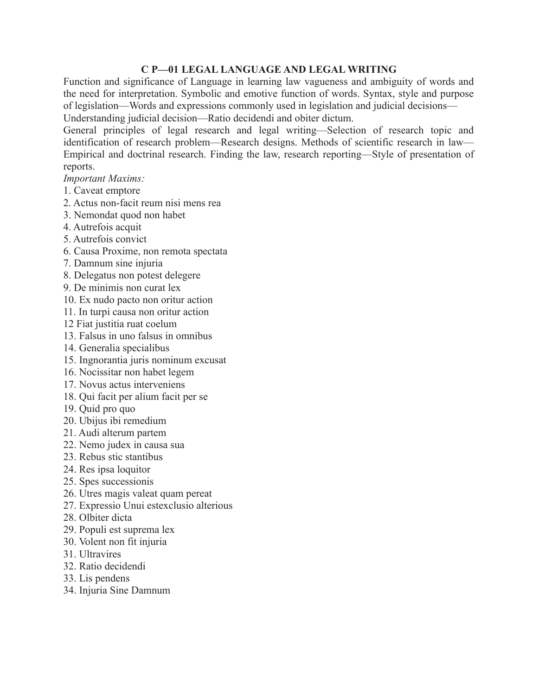## **C P—01 LEGAL LANGUAGE AND LEGAL WRITING**

Function and significance of Language in learning law vagueness and ambiguity of words and the need for interpretation. Symbolic and emotive function of words. Syntax, style and purpose of legislation—Words and expressions commonly used in legislation and judicial decisions—

Understanding judicial decision—Ratio decidendi and obiter dictum.

General principles of legal research and legal writing—Selection of research topic and identification of research problem—Research designs. Methods of scientific research in law— Empirical and doctrinal research. Finding the law, research reporting—Style of presentation of reports.

*Important Maxims:*

- 1. Caveat emptore
- 2. Actus non-facit reum nisi mens rea
- 3. Nemondat quod non habet
- 4. Autrefois acquit
- 5. Autrefois convict
- 6. Causa Proxime, non remota spectata
- 7. Damnum sine injuria
- 8. Delegatus non potest delegere
- 9. De minimis non curat lex
- 10. Ex nudo pacto non oritur action
- 11. In turpi causa non oritur action
- 12 Fiat justitia ruat coelum
- 13. Falsus in uno falsus in omnibus
- 14. Generalia specialibus
- 15. Ingnorantia juris nominum excusat
- 16. Nocissitar non habet legem
- 17. Novus actus interveniens
- 18. Qui facit per alium facit per se
- 19. Quid pro quo
- 20. Ubijus ibi remedium
- 21. Audi alterum partem
- 22. Nemo judex in causa sua
- 23. Rebus stic stantibus
- 24. Res ipsa loquitor
- 25. Spes successionis
- 26. Utres magis valeat quam pereat
- 27. Expressio Unui estexclusio alterious
- 28. Olbiter dicta
- 29. Populi est suprema lex
- 30. Volent non fit injuria
- 31. Ultravires
- 32. Ratio decidendi
- 33. Lis pendens
- 34. Injuria Sine Damnum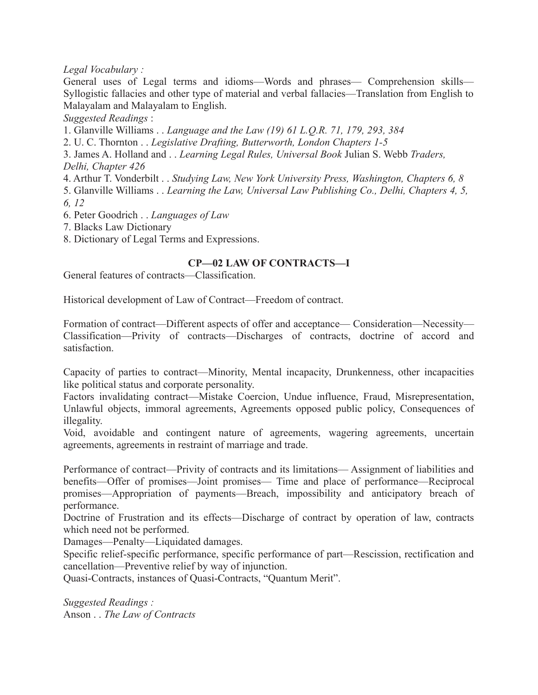## *Legal Vocabulary :*

General uses of Legal terms and idioms—Words and phrases— Comprehension skills— Syllogistic fallacies and other type of material and verbal fallacies—Translation from English to Malayalam and Malayalam to English.

*Suggested Readings* :

1. Glanville Williams . . *Language and the Law (19) 61 L.Q.R. 71, 179, 293, 384*

2. U. C. Thornton . . *Legislative Drafting, Butterworth, London Chapters 1-5*

3. James A. Holland and . . *Learning Legal Rules, Universal Book* Julian S. Webb *Traders, Delhi, Chapter 426*

4. Arthur T. Vonderbilt . . *Studying Law, New York University Press, Washington, Chapters 6, 8*

5. Glanville Williams . . *Learning the Law, Universal Law Publishing Co., Delhi, Chapters 4, 5, 6, 12*

6. Peter Goodrich . . *Languages of Law*

7. Blacks Law Dictionary

8. Dictionary of Legal Terms and Expressions.

# **CP—02 LAW OF CONTRACTS—I**

General features of contracts—Classification.

Historical development of Law of Contract—Freedom of contract.

Formation of contract—Different aspects of offer and acceptance— Consideration—Necessity— Classification—Privity of contracts—Discharges of contracts, doctrine of accord and satisfaction.

Capacity of parties to contract—Minority, Mental incapacity, Drunkenness, other incapacities like political status and corporate personality.

Factors invalidating contract—Mistake Coercion, Undue influence, Fraud, Misrepresentation, Unlawful objects, immoral agreements, Agreements opposed public policy, Consequences of illegality.

Void, avoidable and contingent nature of agreements, wagering agreements, uncertain agreements, agreements in restraint of marriage and trade.

Performance of contract—Privity of contracts and its limitations— Assignment of liabilities and benefits—Offer of promises—Joint promises— Time and place of performance—Reciprocal promises—Appropriation of payments—Breach, impossibility and anticipatory breach of performance.

Doctrine of Frustration and its effects—Discharge of contract by operation of law, contracts which need not be performed.

Damages—Penalty—Liquidated damages.

Specific relief-specific performance, specific performance of part—Rescission, rectification and cancellation—Preventive relief by way of injunction.

Quasi-Contracts, instances of Quasi-Contracts, "Quantum Merit".

*Suggested Readings :* Anson . . *The Law of Contracts*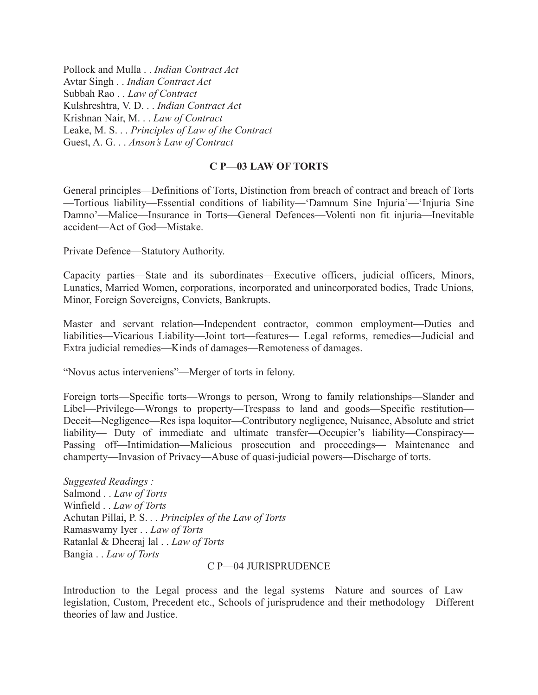Pollock and Mulla . . *Indian Contract Act* Avtar Singh . . *Indian Contract Act* Subbah Rao . . *Law of Contract* Kulshreshtra, V. D. . . *Indian Contract Act* Krishnan Nair, M. . . *Law of Contract* Leake, M. S. . . *Principles of Law of the Contract* Guest, A. G. . . *Anson's Law of Contract*

### **C P—03 LAW OF TORTS**

General principles—Definitions of Torts, Distinction from breach of contract and breach of Torts —Tortious liability—Essential conditions of liability—'Damnum Sine Injuria'—'Injuria Sine Damno'—Malice—Insurance in Torts—General Defences—Volenti non fit injuria—Inevitable accident—Act of God—Mistake.

Private Defence—Statutory Authority.

Capacity parties—State and its subordinates—Executive officers, judicial officers, Minors, Lunatics, Married Women, corporations, incorporated and unincorporated bodies, Trade Unions, Minor, Foreign Sovereigns, Convicts, Bankrupts.

Master and servant relation—Independent contractor, common employment—Duties and liabilities—Vicarious Liability—Joint tort—features— Legal reforms, remedies—Judicial and Extra judicial remedies—Kinds of damages—Remoteness of damages.

"Novus actus interveniens"—Merger of torts in felony.

Foreign torts—Specific torts—Wrongs to person, Wrong to family relationships—Slander and Libel—Privilege—Wrongs to property—Trespass to land and goods—Specific restitution— Deceit—Negligence—Res ispa loquitor—Contributory negligence, Nuisance, Absolute and strict liability— Duty of immediate and ultimate transfer—Occupier's liability—Conspiracy— Passing off—Intimidation—Malicious prosecution and proceedings— Maintenance and champerty—Invasion of Privacy—Abuse of quasi-judicial powers—Discharge of torts.

*Suggested Readings :* Salmond . . *Law of Torts* Winfield . . *Law of Torts* Achutan Pillai, P. S. *. . Principles of the Law of Torts* Ramaswamy Iyer . . *Law of Torts* Ratanlal & Dheeraj lal . . *Law of Torts* Bangia . . *Law of Torts*

#### C P—04 JURISPRUDENCE

Introduction to the Legal process and the legal systems—Nature and sources of Law legislation, Custom, Precedent etc., Schools of jurisprudence and their methodology—Different theories of law and Justice.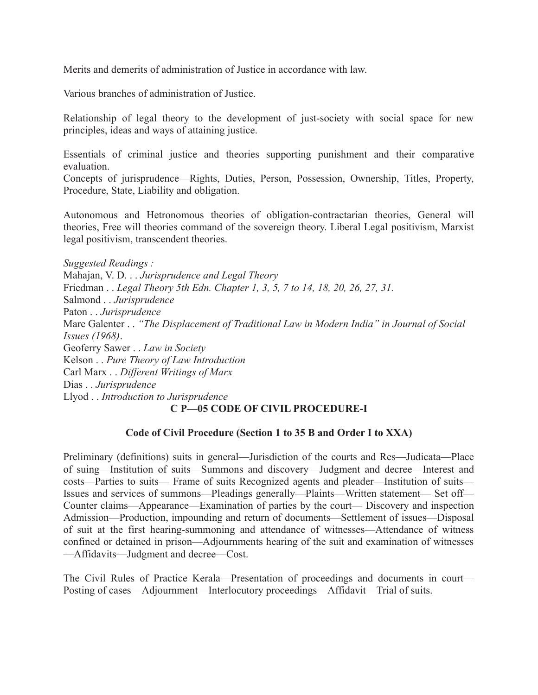Merits and demerits of administration of Justice in accordance with law.

Various branches of administration of Justice.

Relationship of legal theory to the development of just-society with social space for new principles, ideas and ways of attaining justice.

Essentials of criminal justice and theories supporting punishment and their comparative evaluation.

Concepts of jurisprudence—Rights, Duties, Person, Possession, Ownership, Titles, Property, Procedure, State, Liability and obligation.

Autonomous and Hetronomous theories of obligation-contractarian theories, General will theories, Free will theories command of the sovereign theory. Liberal Legal positivism, Marxist legal positivism, transcendent theories.

*Suggested Readings :*

Mahajan, V. D. . . *Jurisprudence and Legal Theory* Friedman . . *Legal Theory 5th Edn. Chapter 1, 3, 5, 7 to 14, 18, 20, 26, 27, 31.* Salmond . . *Jurisprudence* Paton . . *Jurisprudence* Mare Galenter . . *"The Displacement of Traditional Law in Modern India" in Journal of Social Issues (1968)*. Geoferry Sawer . . *Law in Society* Kelson . . *Pure Theory of Law Introduction* Carl Marx . . *Different Writings of Marx* Dias . . *Jurisprudence* Llyod . . *Introduction to Jurisprudence* **C P—05 CODE OF CIVIL PROCEDURE-I**

# **Code of Civil Procedure (Section 1 to 35 B and Order I to XXA)**

Preliminary (definitions) suits in general—Jurisdiction of the courts and Res—Judicata—Place of suing—Institution of suits—Summons and discovery—Judgment and decree—Interest and costs—Parties to suits— Frame of suits Recognized agents and pleader—Institution of suits— Issues and services of summons—Pleadings generally—Plaints—Written statement— Set off— Counter claims—Appearance—Examination of parties by the court— Discovery and inspection Admission—Production, impounding and return of documents—Settlement of issues—Disposal of suit at the first hearing-summoning and attendance of witnesses—Attendance of witness confined or detained in prison—Adjournments hearing of the suit and examination of witnesses —Affidavits—Judgment and decree—Cost.

The Civil Rules of Practice Kerala—Presentation of proceedings and documents in court— Posting of cases—Adjournment—Interlocutory proceedings—Affidavit—Trial of suits.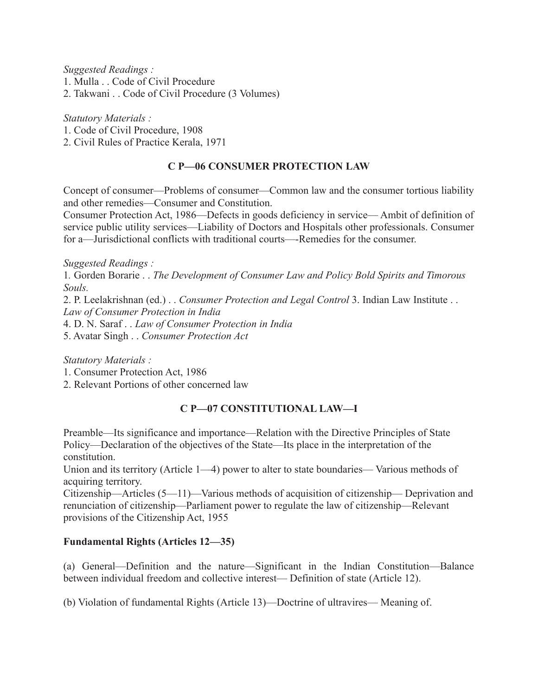*Suggested Readings :*

1. Mulla . . Code of Civil Procedure

2. Takwani . . Code of Civil Procedure (3 Volumes)

*Statutory Materials :*

1. Code of Civil Procedure, 1908

2. Civil Rules of Practice Kerala, 1971

# **C P—06 CONSUMER PROTECTION LAW**

Concept of consumer—Problems of consumer—Common law and the consumer tortious liability and other remedies—Consumer and Constitution.

Consumer Protection Act, 1986—Defects in goods deficiency in service— Ambit of definition of service public utility services—Liability of Doctors and Hospitals other professionals. Consumer for a—Jurisdictional conflicts with traditional courts—-Remedies for the consumer.

*Suggested Readings :*

1*.* Gorden Borarie . . *The Development of Consumer Law and Policy Bold Spirits and Timorous Souls.*

2. P. Leelakrishnan (ed.) . . *Consumer Protection and Legal Control* 3. Indian Law Institute . . *Law of Consumer Protection in India*

4. D. N. Saraf . . *Law of Consumer Protection in India*

5. Avatar Singh . . *Consumer Protection Act*

*Statutory Materials :*

1. Consumer Protection Act, 1986

2. Relevant Portions of other concerned law

# **C P—07 CONSTITUTIONAL LAW—I**

Preamble—Its significance and importance—Relation with the Directive Principles of State Policy—Declaration of the objectives of the State—Its place in the interpretation of the constitution.

Union and its territory (Article 1—4) power to alter to state boundaries— Various methods of acquiring territory.

Citizenship—Articles (5—11)—Various methods of acquisition of citizenship— Deprivation and renunciation of citizenship—Parliament power to regulate the law of citizenship—Relevant provisions of the Citizenship Act, 1955

## **Fundamental Rights (Articles 12—35)**

(a) General—Definition and the nature—Significant in the Indian Constitution—Balance between individual freedom and collective interest— Definition of state (Article 12).

(b) Violation of fundamental Rights (Article 13)—Doctrine of ultravires— Meaning of.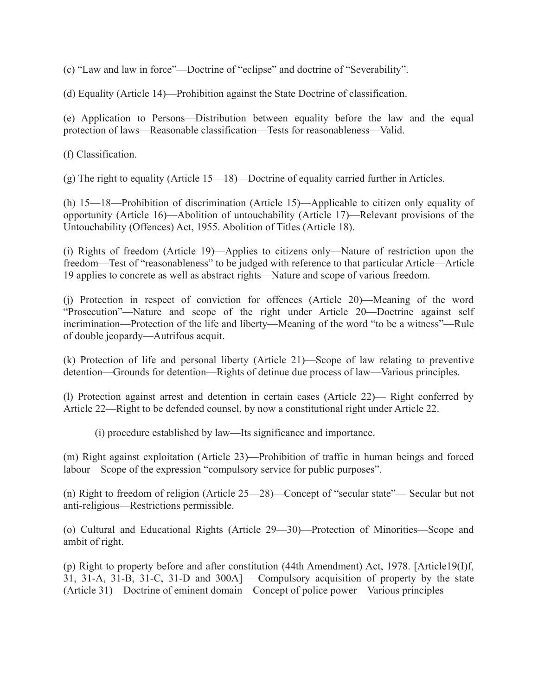(c) "Law and law in force"—Doctrine of "eclipse" and doctrine of "Severability".

(d) Equality (Article 14)—Prohibition against the State Doctrine of classification.

(e) Application to Persons—Distribution between equality before the law and the equal protection of laws—Reasonable classification—Tests for reasonableness—Valid.

(f) Classification.

(g) The right to equality (Article 15—18)—Doctrine of equality carried further in Articles.

(h) 15—18—Prohibition of discrimination (Article 15)—Applicable to citizen only equality of opportunity (Article 16)—Abolition of untouchability (Article 17)—Relevant provisions of the Untouchability (Offences) Act, 1955. Abolition of Titles (Article 18).

(i) Rights of freedom (Article 19)—Applies to citizens only—Nature of restriction upon the freedom—Test of "reasonableness" to be judged with reference to that particular Article—Article 19 applies to concrete as well as abstract rights—Nature and scope of various freedom.

(j) Protection in respect of conviction for offences (Article 20)—Meaning of the word "Prosecution"—Nature and scope of the right under Article 20—Doctrine against self incrimination—Protection of the life and liberty—Meaning of the word "to be a witness"—Rule of double jeopardy—Autrifous acquit.

(k) Protection of life and personal liberty (Article 21)—Scope of law relating to preventive detention—Grounds for detention—Rights of detinue due process of law—Various principles.

(l) Protection against arrest and detention in certain cases (Article 22)— Right conferred by Article 22—Right to be defended counsel, by now a constitutional right under Article 22.

(i) procedure established by law—Its significance and importance.

(m) Right against exploitation (Article 23)—Prohibition of traffic in human beings and forced labour—Scope of the expression "compulsory service for public purposes".

(n) Right to freedom of religion (Article 25—28)—Concept of "secular state"— Secular but not anti-religious—Restrictions permissible.

(o) Cultural and Educational Rights (Article 29—30)—Protection of Minorities—Scope and ambit of right.

(p) Right to property before and after constitution (44th Amendment) Act, 1978. [Article19(I)f, 31, 31-A, 31-B, 31-C, 31-D and 300A]— Compulsory acquisition of property by the state (Article 31)—Doctrine of eminent domain—Concept of police power—Various principles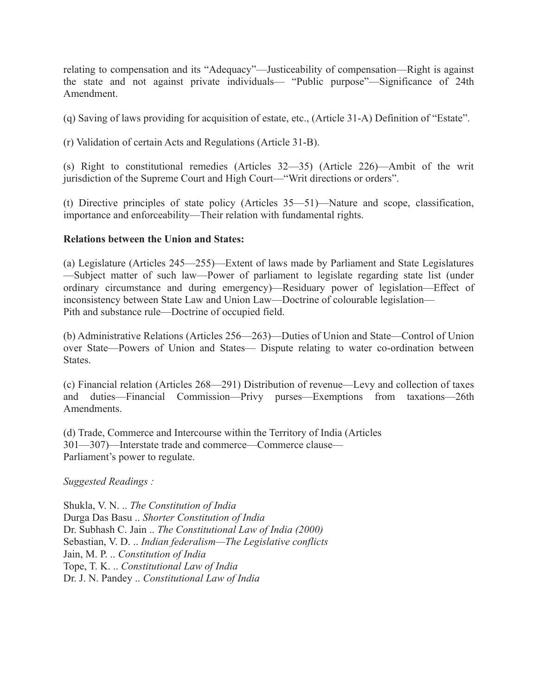relating to compensation and its "Adequacy"—Justiceability of compensation—Right is against the state and not against private individuals— "Public purpose"—Significance of 24th Amendment.

(q) Saving of laws providing for acquisition of estate, etc., (Article 31-A) Definition of "Estate".

(r) Validation of certain Acts and Regulations (Article 31-B).

(s) Right to constitutional remedies (Articles 32—35) (Article 226)—Ambit of the writ jurisdiction of the Supreme Court and High Court—"Writ directions or orders".

(t) Directive principles of state policy (Articles 35—51)—Nature and scope, classification, importance and enforceability—Their relation with fundamental rights.

# **Relations between the Union and States:**

(a) Legislature (Articles 245—255)—Extent of laws made by Parliament and State Legislatures —Subject matter of such law—Power of parliament to legislate regarding state list (under ordinary circumstance and during emergency)—Residuary power of legislation—Effect of inconsistency between State Law and Union Law—Doctrine of colourable legislation— Pith and substance rule—Doctrine of occupied field.

(b) Administrative Relations (Articles 256—263)—Duties of Union and State—Control of Union over State—Powers of Union and States— Dispute relating to water co-ordination between States.

(c) Financial relation (Articles 268—291) Distribution of revenue—Levy and collection of taxes and duties—Financial Commission—Privy purses—Exemptions from taxations—26th **Amendments** 

(d) Trade, Commerce and Intercourse within the Territory of India (Articles 301—307)—Interstate trade and commerce—Commerce clause— Parliament's power to regulate.

*Suggested Readings :*

Shukla, V. N. .. *The Constitution of India* Durga Das Basu .. *Shorter Constitution of India* Dr. Subhash C. Jain .. *The Constitutional Law of India (2000)* Sebastian, V. D. .. *Indian federalism—The Legislative conflicts* Jain, M. P. .. *Constitution of India* Tope, T. K. .. *Constitutional Law of India* Dr. J. N. Pandey .. *Constitutional Law of India*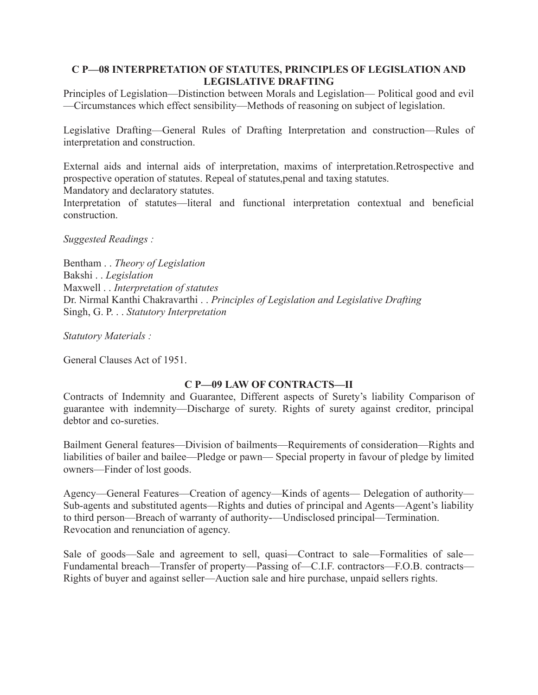### **C P—08 INTERPRETATION OF STATUTES, PRINCIPLES OF LEGISLATION AND LEGISLATIVE DRAFTING**

Principles of Legislation—Distinction between Morals and Legislation— Political good and evil —Circumstances which effect sensibility—Methods of reasoning on subject of legislation.

Legislative Drafting—General Rules of Drafting Interpretation and construction—Rules of interpretation and construction.

External aids and internal aids of interpretation, maxims of interpretation.Retrospective and prospective operation of statutes. Repeal of statutes,penal and taxing statutes. Mandatory and declaratory statutes.

Interpretation of statutes—literal and functional interpretation contextual and beneficial construction.

*Suggested Readings :*

Bentham . . *Theory of Legislation* Bakshi . . *Legislation* Maxwell . . *Interpretation of statutes* Dr. Nirmal Kanthi Chakravarthi . . *Principles of Legislation and Legislative Drafting* Singh, G. P. . . *Statutory Interpretation*

*Statutory Materials :*

General Clauses Act of 1951.

#### **C P—09 LAW OF CONTRACTS—II**

Contracts of Indemnity and Guarantee, Different aspects of Surety's liability Comparison of guarantee with indemnity—Discharge of surety. Rights of surety against creditor, principal debtor and co-sureties.

Bailment General features—Division of bailments—Requirements of consideration—Rights and liabilities of bailer and bailee—Pledge or pawn— Special property in favour of pledge by limited owners—Finder of lost goods.

Agency—General Features—Creation of agency—Kinds of agents— Delegation of authority— Sub-agents and substituted agents—Rights and duties of principal and Agents—Agent's liability to third person—Breach of warranty of authority-—Undisclosed principal—Termination. Revocation and renunciation of agency.

Sale of goods—Sale and agreement to sell, quasi—Contract to sale—Formalities of sale— Fundamental breach—Transfer of property—Passing of—C.I.F. contractors—F.O.B. contracts— Rights of buyer and against seller—Auction sale and hire purchase, unpaid sellers rights.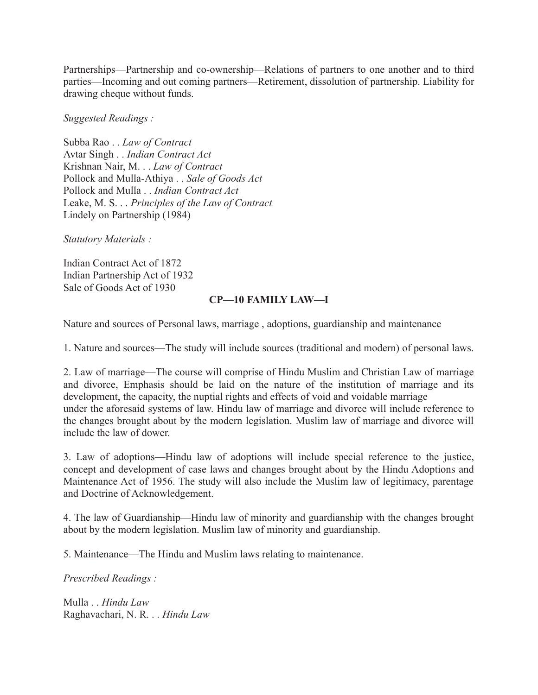Partnerships—Partnership and co-ownership—Relations of partners to one another and to third parties—Incoming and out coming partners—Retirement, dissolution of partnership. Liability for drawing cheque without funds.

*Suggested Readings :*

Subba Rao . . *Law of Contract* Avtar Singh . . *Indian Contract Act* Krishnan Nair, M. . . *Law of Contract* Pollock and Mulla-Athiya . . *Sale of Goods Act* Pollock and Mulla . . *Indian Contract Act* Leake, M. S. . . *Principles of the Law of Contract* Lindely on Partnership (1984)

*Statutory Materials :*

Indian Contract Act of 1872 Indian Partnership Act of 1932 Sale of Goods Act of 1930

## **CP—10 FAMILY LAW—I**

Nature and sources of Personal laws, marriage , adoptions, guardianship and maintenance

1. Nature and sources—The study will include sources (traditional and modern) of personal laws.

2. Law of marriage—The course will comprise of Hindu Muslim and Christian Law of marriage and divorce, Emphasis should be laid on the nature of the institution of marriage and its development, the capacity, the nuptial rights and effects of void and voidable marriage under the aforesaid systems of law. Hindu law of marriage and divorce will include reference to the changes brought about by the modern legislation. Muslim law of marriage and divorce will include the law of dower.

3. Law of adoptions—Hindu law of adoptions will include special reference to the justice, concept and development of case laws and changes brought about by the Hindu Adoptions and Maintenance Act of 1956. The study will also include the Muslim law of legitimacy, parentage and Doctrine of Acknowledgement.

4. The law of Guardianship—Hindu law of minority and guardianship with the changes brought about by the modern legislation. Muslim law of minority and guardianship.

5. Maintenance—The Hindu and Muslim laws relating to maintenance.

*Prescribed Readings :*

Mulla . . *Hindu Law* Raghavachari, N. R. . . *Hindu Law*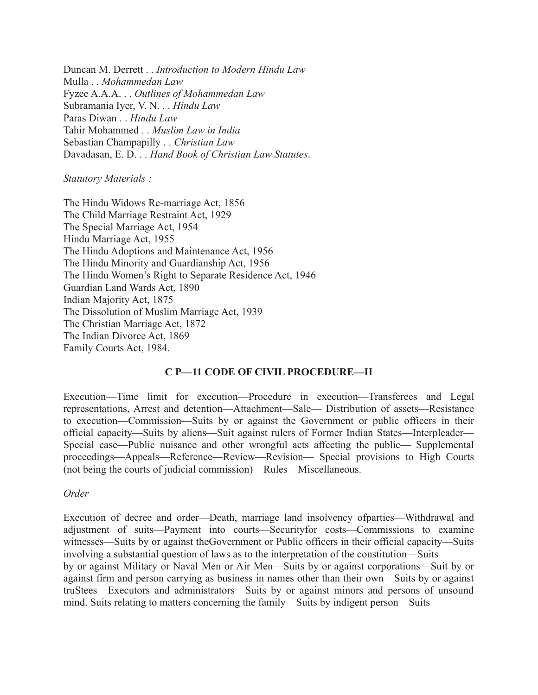Duncan M. Derrett . . *Introduction to Modern Hindu Law* Mulla . . *Mohammedan Law* Fyzee A.A.A. . . *Outlines of Mohammedan Law* Subramania Iyer, V. N. . . *Hindu Law* Paras Diwan . . *Hindu Law* Tahir Mohammed . . *Muslim Law in India* Sebastian Champapilly . . *Christian Law* Davadasan, E. D. . . *Hand Book of Christian Law Statutes*.

*Statutory Materials :*

The Hindu Widows Re-marriage Act, 1856 The Child Marriage Restraint Act, 1929 The Special Marriage Act, 1954 Hindu Marriage Act, 1955 The Hindu Adoptions and Maintenance Act, 1956 The Hindu Minority and Guardianship Act, 1956 The Hindu Women's Right to Separate Residence Act, 1946 Guardian Land Wards Act, 1890 Indian Majority Act, 1875 The Dissolution of Muslim Marriage Act, 1939 The Christian Marriage Act, 1872 The Indian Divorce Act, 1869 Family Courts Act, 1984.

## **C P—11 CODE OF CIVIL PROCEDURE—II**

Execution—Time limit for execution—Procedure in execution—Transferees and Legal representations, Arrest and detention—Attachment—Sale— Distribution of assets—Resistance to execution—Commission—Suits by or against the Government or public officers in their official capacity—Suits by aliens—Suit against rulers of Former Indian States—Interpleader— Special case—Public nuisance and other wrongful acts affecting the public— Supplemental proceedings—Appeals—Reference—Review—Revision— Special provisions to High Courts (not being the courts of judicial commission)—Rules—Miscellaneous.

#### *Order*

Execution of decree and order—Death, marriage land insolvency ofparties—Withdrawal and adjustment of suits—Payment into courts—Securityfor costs—Commissions to examine witnesses—Suits by or against the Government or Public officers in their official capacity—Suits involving a substantial question of laws as to the interpretation of the constitution—Suits by or against Military or Naval Men or Air Men—Suits by or against corporations—Suit by or against firm and person carrying as business in names other than their own—Suits by or against truStees—Executors and administrators—Suits by or against minors and persons of unsound mind. Suits relating to matters concerning the family—Suits by indigent person—Suits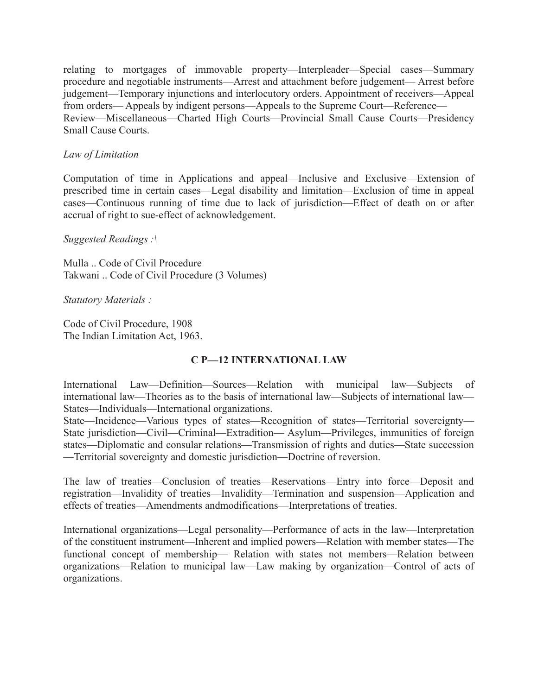relating to mortgages of immovable property—Interpleader—Special cases—Summary procedure and negotiable instruments—Arrest and attachment before judgement— Arrest before judgement—Temporary injunctions and interlocutory orders. Appointment of receivers—Appeal from orders— Appeals by indigent persons—Appeals to the Supreme Court—Reference— Review—Miscellaneous—Charted High Courts—Provincial Small Cause Courts—Presidency Small Cause Courts.

### *Law of Limitation*

Computation of time in Applications and appeal—Inclusive and Exclusive—Extension of prescribed time in certain cases—Legal disability and limitation—Exclusion of time in appeal cases—Continuous running of time due to lack of jurisdiction—Effect of death on or after accrual of right to sue-effect of acknowledgement.

#### *Suggested Readings :\*

Mulla .. Code of Civil Procedure Takwani .. Code of Civil Procedure (3 Volumes)

*Statutory Materials :*

Code of Civil Procedure, 1908 The Indian Limitation Act, 1963.

#### **C P—12 INTERNATIONAL LAW**

International Law—Definition—Sources—Relation with municipal law—Subjects of international law—Theories as to the basis of international law—Subjects of international law— States—Individuals—International organizations.

State—Incidence—Various types of states—Recognition of states—Territorial sovereignty— State jurisdiction—Civil—Criminal—Extradition— Asylum—Privileges, immunities of foreign states—Diplomatic and consular relations—Transmission of rights and duties—State succession —Territorial sovereignty and domestic jurisdiction—Doctrine of reversion.

The law of treaties—Conclusion of treaties—Reservations—Entry into force—Deposit and registration—Invalidity of treaties—Invalidity—Termination and suspension—Application and effects of treaties—Amendments andmodifications—Interpretations of treaties.

International organizations—Legal personality—Performance of acts in the law—Interpretation of the constituent instrument—Inherent and implied powers—Relation with member states—The functional concept of membership— Relation with states not members—Relation between organizations—Relation to municipal law—Law making by organization—Control of acts of organizations.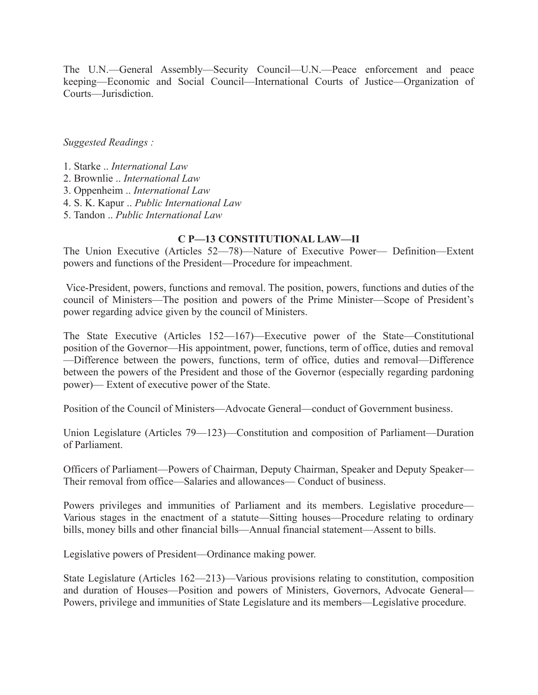The U.N.—General Assembly—Security Council—U.N.—Peace enforcement and peace keeping—Economic and Social Council—International Courts of Justice—Organization of Courts—Jurisdiction.

*Suggested Readings :*

- 1. Starke .. *International Law*
- 2. Brownlie .. *International Law*
- 3. Oppenheim .. *International Law*
- 4. S. K. Kapur .. *Public International Law*
- 5. Tandon .. *Public International Law*

### **C P—13 CONSTITUTIONAL LAW—II**

The Union Executive (Articles 52—78)—Nature of Executive Power— Definition—Extent powers and functions of the President—Procedure for impeachment.

Vice-President, powers, functions and removal. The position, powers, functions and duties of the council of Ministers—The position and powers of the Prime Minister—Scope of President's power regarding advice given by the council of Ministers.

The State Executive (Articles 152—167)—Executive power of the State—Constitutional position of the Governor—His appointment, power, functions, term of office, duties and removal —Difference between the powers, functions, term of office, duties and removal—Difference between the powers of the President and those of the Governor (especially regarding pardoning power)— Extent of executive power of the State.

Position of the Council of Ministers—Advocate General—conduct of Government business.

Union Legislature (Articles 79—123)—Constitution and composition of Parliament—Duration of Parliament.

Officers of Parliament—Powers of Chairman, Deputy Chairman, Speaker and Deputy Speaker— Their removal from office—Salaries and allowances— Conduct of business.

Powers privileges and immunities of Parliament and its members. Legislative procedure— Various stages in the enactment of a statute—Sitting houses—Procedure relating to ordinary bills, money bills and other financial bills—Annual financial statement—Assent to bills.

Legislative powers of President—Ordinance making power.

State Legislature (Articles 162—213)—Various provisions relating to constitution, composition and duration of Houses—Position and powers of Ministers, Governors, Advocate General— Powers, privilege and immunities of State Legislature and its members—Legislative procedure.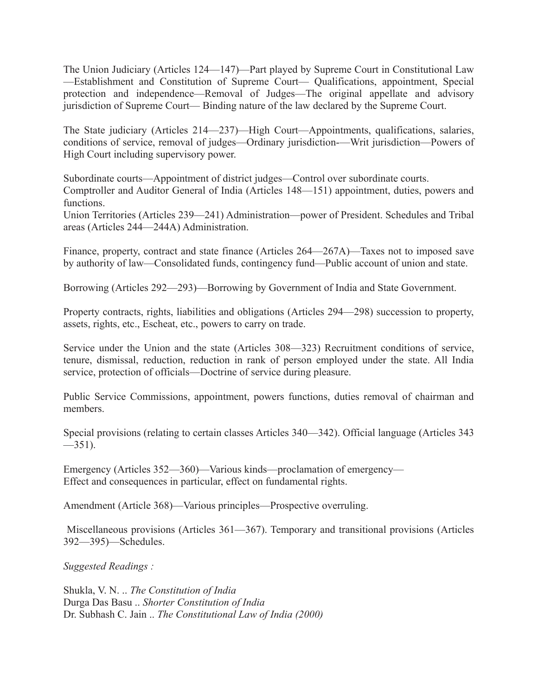The Union Judiciary (Articles 124—147)—Part played by Supreme Court in Constitutional Law —Establishment and Constitution of Supreme Court— Qualifications, appointment, Special protection and independence—Removal of Judges—The original appellate and advisory jurisdiction of Supreme Court— Binding nature of the law declared by the Supreme Court.

The State judiciary (Articles 214—237)—High Court—Appointments, qualifications, salaries, conditions of service, removal of judges—Ordinary jurisdiction-—Writ jurisdiction—Powers of High Court including supervisory power.

Subordinate courts—Appointment of district judges—Control over subordinate courts. Comptroller and Auditor General of India (Articles 148—151) appointment, duties, powers and functions.

Union Territories (Articles 239—241) Administration—power of President. Schedules and Tribal areas (Articles 244—244A) Administration.

Finance, property, contract and state finance (Articles 264—267A)—Taxes not to imposed save by authority of law—Consolidated funds, contingency fund—Public account of union and state.

Borrowing (Articles 292—293)—Borrowing by Government of India and State Government.

Property contracts, rights, liabilities and obligations (Articles 294—298) succession to property, assets, rights, etc., Escheat, etc., powers to carry on trade.

Service under the Union and the state (Articles 308—323) Recruitment conditions of service, tenure, dismissal, reduction, reduction in rank of person employed under the state. All India service, protection of officials—Doctrine of service during pleasure.

Public Service Commissions, appointment, powers functions, duties removal of chairman and members.

Special provisions (relating to certain classes Articles 340—342). Official language (Articles 343  $-351$ ).

Emergency (Articles 352—360)—Various kinds—proclamation of emergency— Effect and consequences in particular, effect on fundamental rights.

Amendment (Article 368)—Various principles—Prospective overruling.

Miscellaneous provisions (Articles 361—367). Temporary and transitional provisions (Articles 392—395)—Schedules.

*Suggested Readings :*

Shukla, V. N. .. *The Constitution of India* Durga Das Basu .. *Shorter Constitution of India* Dr. Subhash C. Jain .. *The Constitutional Law of India (2000)*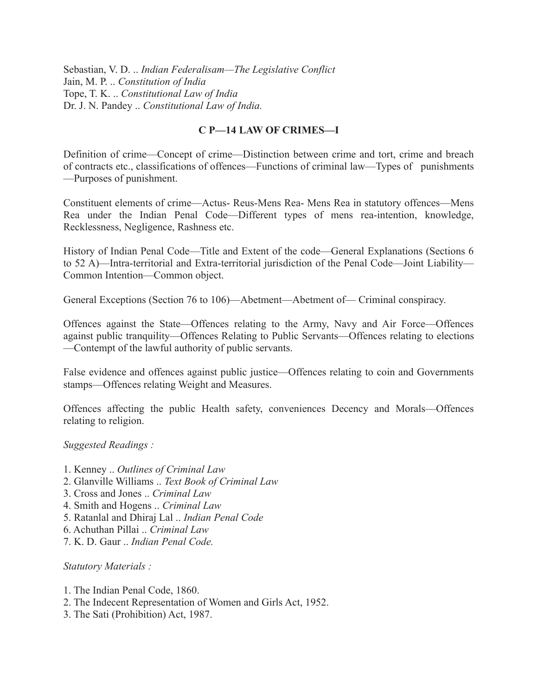Sebastian, V. D. .. *Indian Federalisam—The Legislative Conflict* Jain, M. P. .. *Constitution of India* Tope, T. K. .. *Constitutional Law of India* Dr. J. N. Pandey .. *Constitutional Law of India.*

# **C P—14 LAW OF CRIMES—I**

Definition of crime—Concept of crime—Distinction between crime and tort, crime and breach of contracts etc., classifications of offences—Functions of criminal law—Types of punishments —Purposes of punishment.

Constituent elements of crime—Actus- Reus-Mens Rea- Mens Rea in statutory offences—Mens Rea under the Indian Penal Code—Different types of mens rea-intention, knowledge, Recklessness, Negligence, Rashness etc.

History of Indian Penal Code—Title and Extent of the code—General Explanations (Sections 6 to 52 A)—Intra-territorial and Extra-territorial jurisdiction of the Penal Code—Joint Liability— Common Intention—Common object.

General Exceptions (Section 76 to 106)—Abetment—Abetment of— Criminal conspiracy.

Offences against the State—Offences relating to the Army, Navy and Air Force—Offences against public tranquility—Offences Relating to Public Servants—Offences relating to elections —Contempt of the lawful authority of public servants.

False evidence and offences against public justice—Offences relating to coin and Governments stamps—Offences relating Weight and Measures.

Offences affecting the public Health safety, conveniences Decency and Morals—Offences relating to religion.

*Suggested Readings :*

- 1. Kenney .. *Outlines of Criminal Law*
- 2. Glanville Williams .. *Text Book of Criminal Law*
- 3. Cross and Jones .. *Criminal Law*
- 4. Smith and Hogens .. *Criminal Law*
- 5. Ratanlal and Dhiraj Lal .. *Indian Penal Code*
- 6. Achuthan Pillai .. *Criminal Law*
- 7. K. D. Gaur .. *Indian Penal Code.*

*Statutory Materials :*

- 1. The Indian Penal Code, 1860.
- 2. The Indecent Representation of Women and Girls Act, 1952.
- 3. The Sati (Prohibition) Act, 1987.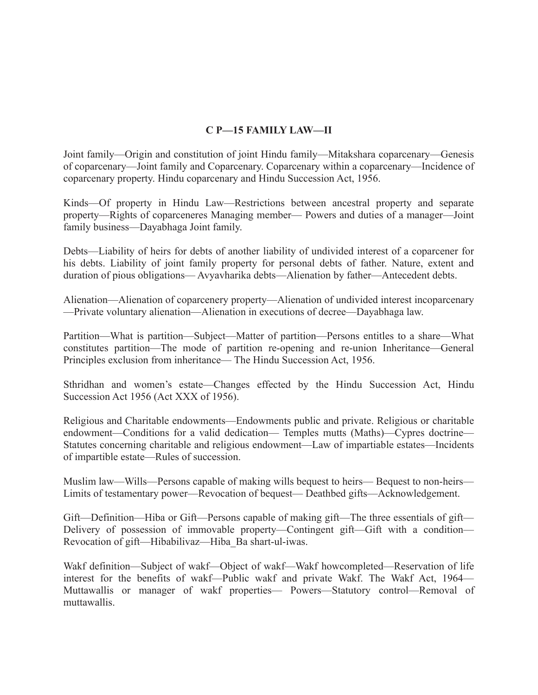# **C P—15 FAMILY LAW—II**

Joint family—Origin and constitution of joint Hindu family—Mitakshara coparcenary—Genesis of coparcenary—Joint family and Coparcenary. Coparcenary within a coparcenary—Incidence of coparcenary property. Hindu coparcenary and Hindu Succession Act, 1956.

Kinds—Of property in Hindu Law—Restrictions between ancestral property and separate property—Rights of coparceneres Managing member— Powers and duties of a manager—Joint family business—Dayabhaga Joint family.

Debts—Liability of heirs for debts of another liability of undivided interest of a coparcener for his debts. Liability of joint family property for personal debts of father. Nature, extent and duration of pious obligations— Avyavharika debts—Alienation by father—Antecedent debts.

Alienation—Alienation of coparcenery property—Alienation of undivided interest incoparcenary —Private voluntary alienation—Alienation in executions of decree—Dayabhaga law.

Partition—What is partition—Subject—Matter of partition—Persons entitles to a share—What constitutes partition—The mode of partition re-opening and re-union Inheritance—General Principles exclusion from inheritance— The Hindu Succession Act, 1956.

Sthridhan and women's estate—Changes effected by the Hindu Succession Act, Hindu Succession Act 1956 (Act XXX of 1956).

Religious and Charitable endowments—Endowments public and private. Religious or charitable endowment—Conditions for a valid dedication— Temples mutts (Maths)—Cypres doctrine— Statutes concerning charitable and religious endowment—Law of impartiable estates—Incidents of impartible estate—Rules of succession.

Muslim law—Wills—Persons capable of making wills bequest to heirs— Bequest to non-heirs— Limits of testamentary power—Revocation of bequest— Deathbed gifts—Acknowledgement.

Gift—Definition—Hiba or Gift—Persons capable of making gift—The three essentials of gift— Delivery of possession of immovable property—Contingent gift—Gift with a condition— Revocation of gift—Hibabilivaz—Hiba\_Ba shart-ul-iwas.

Wakf definition—Subject of wakf—Object of wakf—Wakf howcompleted—Reservation of life interest for the benefits of wakf—Public wakf and private Wakf. The Wakf Act, 1964— Muttawallis or manager of wakf properties— Powers—Statutory control—Removal of muttawallis.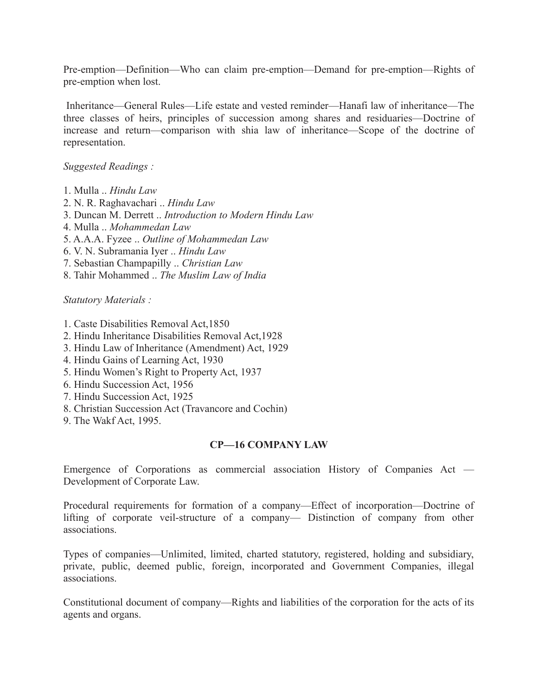Pre-emption—Definition—Who can claim pre-emption—Demand for pre-emption—Rights of pre-emption when lost.

Inheritance—General Rules—Life estate and vested reminder—Hanafi law of inheritance—The three classes of heirs, principles of succession among shares and residuaries—Doctrine of increase and return—comparison with shia law of inheritance—Scope of the doctrine of representation.

*Suggested Readings :*

- 1. Mulla .. *Hindu Law*
- 2. N. R. Raghavachari .. *Hindu Law*
- 3. Duncan M. Derrett .. *Introduction to Modern Hindu Law*
- 4. Mulla .. *Mohammedan Law*
- 5. A.A.A. Fyzee .. *Outline of Mohammedan Law*
- 6. V. N. Subramania Iyer .. *Hindu Law*
- 7. Sebastian Champapilly .. *Christian Law*
- 8. Tahir Mohammed .. *The Muslim Law of India*

*Statutory Materials :*

- 1. Caste Disabilities Removal Act,1850
- 2. Hindu Inheritance Disabilities Removal Act,1928
- 3. Hindu Law of Inheritance (Amendment) Act, 1929
- 4. Hindu Gains of Learning Act, 1930
- 5. Hindu Women's Right to Property Act, 1937
- 6. Hindu Succession Act, 1956
- 7. Hindu Succession Act, 1925
- 8. Christian Succession Act (Travancore and Cochin)
- 9. The Wakf Act, 1995.

#### **CP—16 COMPANY LAW**

Emergence of Corporations as commercial association History of Companies Act — Development of Corporate Law.

Procedural requirements for formation of a company—Effect of incorporation—Doctrine of lifting of corporate veil-structure of a company— Distinction of company from other associations.

Types of companies—Unlimited, limited, charted statutory, registered, holding and subsidiary, private, public, deemed public, foreign, incorporated and Government Companies, illegal associations.

Constitutional document of company—Rights and liabilities of the corporation for the acts of its agents and organs.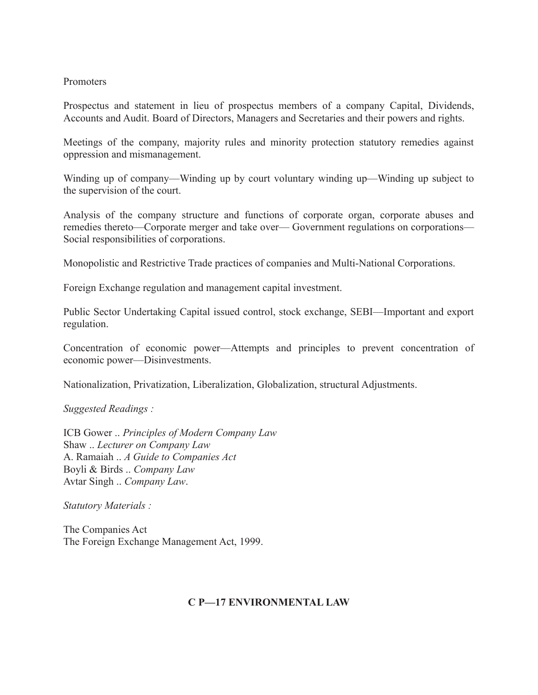#### Promoters

Prospectus and statement in lieu of prospectus members of a company Capital, Dividends, Accounts and Audit. Board of Directors, Managers and Secretaries and their powers and rights.

Meetings of the company, majority rules and minority protection statutory remedies against oppression and mismanagement.

Winding up of company—Winding up by court voluntary winding up—Winding up subject to the supervision of the court.

Analysis of the company structure and functions of corporate organ, corporate abuses and remedies thereto—Corporate merger and take over— Government regulations on corporations— Social responsibilities of corporations.

Monopolistic and Restrictive Trade practices of companies and Multi-National Corporations.

Foreign Exchange regulation and management capital investment.

Public Sector Undertaking Capital issued control, stock exchange, SEBI—Important and export regulation.

Concentration of economic power—Attempts and principles to prevent concentration of economic power—Disinvestments.

Nationalization, Privatization, Liberalization, Globalization, structural Adjustments.

*Suggested Readings :*

ICB Gower .. *Principles of Modern Company Law* Shaw .. *Lecturer on Company Law* A. Ramaiah .. *A Guide to Companies Act* Boyli & Birds .. *Company Law* Avtar Singh .. *Company Law*.

*Statutory Materials :*

The Companies Act The Foreign Exchange Management Act, 1999.

#### **C P—17 ENVIRONMENTAL LAW**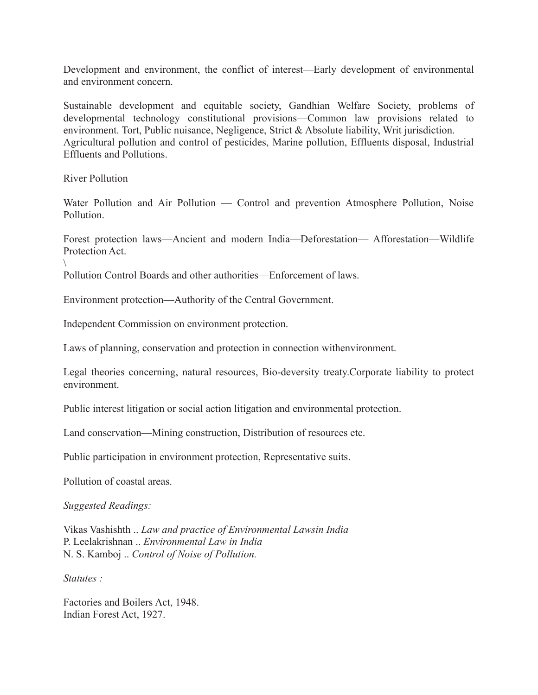Development and environment, the conflict of interest—Early development of environmental and environment concern.

Sustainable development and equitable society, Gandhian Welfare Society, problems of developmental technology constitutional provisions—Common law provisions related to environment. Tort, Public nuisance, Negligence, Strict & Absolute liability, Writ jurisdiction. Agricultural pollution and control of pesticides, Marine pollution, Effluents disposal, Industrial Effluents and Pollutions.

River Pollution

 $\setminus$ 

Water Pollution and Air Pollution — Control and prevention Atmosphere Pollution, Noise Pollution.

Forest protection laws—Ancient and modern India—Deforestation— Afforestation—Wildlife Protection Act.

Pollution Control Boards and other authorities—Enforcement of laws.

Environment protection—Authority of the Central Government.

Independent Commission on environment protection.

Laws of planning, conservation and protection in connection withenvironment.

Legal theories concerning, natural resources, Bio-deversity treaty.Corporate liability to protect environment.

Public interest litigation or social action litigation and environmental protection.

Land conservation—Mining construction, Distribution of resources etc.

Public participation in environment protection, Representative suits.

Pollution of coastal areas.

*Suggested Readings:*

Vikas Vashishth .. *Law and practice of Environmental Lawsin India* P. Leelakrishnan .. *Environmental Law in India* N. S. Kamboj .. *Control of Noise of Pollution.*

*Statutes :*

Factories and Boilers Act, 1948. Indian Forest Act, 1927.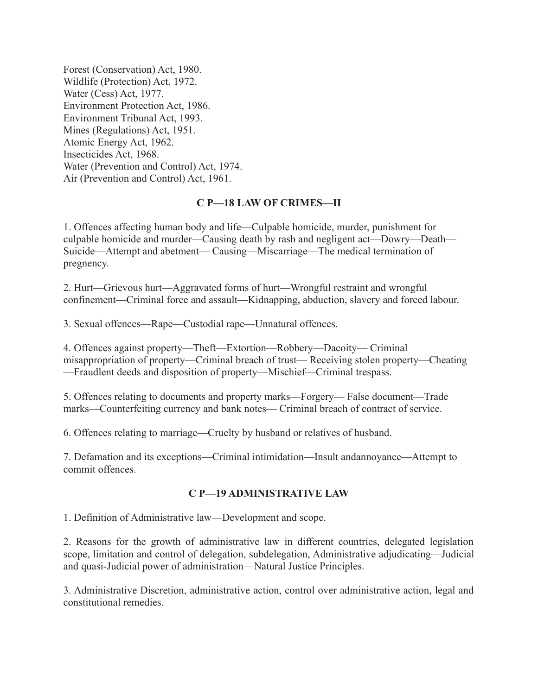Forest (Conservation) Act, 1980. Wildlife (Protection) Act, 1972. Water (Cess) Act, 1977. Environment Protection Act, 1986. Environment Tribunal Act, 1993. Mines (Regulations) Act, 1951. Atomic Energy Act, 1962. Insecticides Act, 1968. Water (Prevention and Control) Act, 1974. Air (Prevention and Control) Act, 1961.

### **C P—18 LAW OF CRIMES—II**

1. Offences affecting human body and life—Culpable homicide, murder, punishment for culpable homicide and murder—Causing death by rash and negligent act—Dowry—Death— Suicide—Attempt and abetment— Causing—Miscarriage—The medical termination of pregnency.

2. Hurt—Grievous hurt—Aggravated forms of hurt—Wrongful restraint and wrongful confinement—Criminal force and assault—Kidnapping, abduction, slavery and forced labour.

3. Sexual offences—Rape—Custodial rape—Unnatural offences.

4. Offences against property—Theft—Extortion—Robbery—Dacoity— Criminal misappropriation of property—Criminal breach of trust— Receiving stolen property—Cheating —Fraudlent deeds and disposition of property—Mischief—Criminal trespass.

5. Offences relating to documents and property marks—Forgery— False document—Trade marks—Counterfeiting currency and bank notes— Criminal breach of contract of service.

6. Offences relating to marriage—Cruelty by husband or relatives of husband.

7. Defamation and its exceptions—Criminal intimidation—Insult andannoyance—Attempt to commit offences.

#### **C P—19 ADMINISTRATIVE LAW**

1. Definition of Administrative law—Development and scope.

2. Reasons for the growth of administrative law in different countries, delegated legislation scope, limitation and control of delegation, subdelegation, Administrative adjudicating—Judicial and quasi-Judicial power of administration—Natural Justice Principles.

3. Administrative Discretion, administrative action, control over administrative action, legal and constitutional remedies.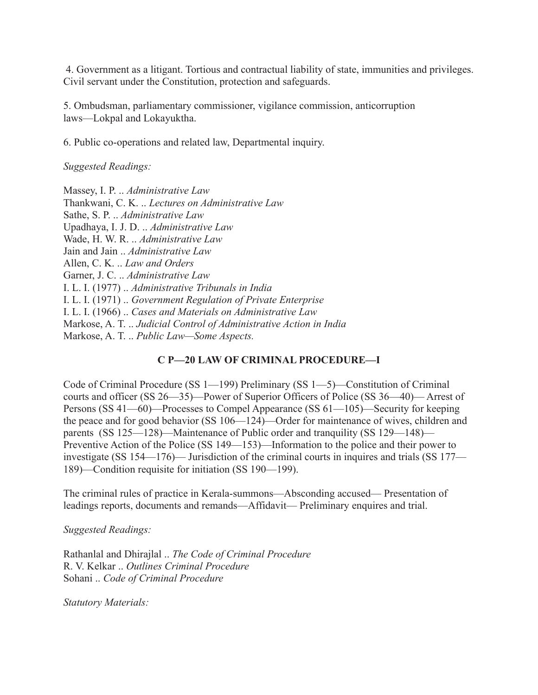4. Government as a litigant. Tortious and contractual liability of state, immunities and privileges. Civil servant under the Constitution, protection and safeguards.

5. Ombudsman, parliamentary commissioner, vigilance commission, anticorruption laws—Lokpal and Lokayuktha.

6. Public co-operations and related law, Departmental inquiry.

*Suggested Readings:*

Massey, I. P. .. *Administrative Law* Thankwani, C. K. .. *Lectures on Administrative Law* Sathe, S. P. .. *Administrative Law* Upadhaya, I. J. D. .. *Administrative Law* Wade, H. W. R. .. *Administrative Law* Jain and Jain .. *Administrative Law* Allen, C. K. .. *Law and Orders* Garner, J. C. .. *Administrative Law* I. L. I. (1977) .. *Administrative Tribunals in India* I. L. I. (1971) .. *Government Regulation of Private Enterprise* I. L. I. (1966) .. *Cases and Materials on Administrative Law* Markose, A. T. .. *Judicial Control of Administrative Action in India* Markose, A. T. .. *Public Law—Some Aspects.*

## **C P—20 LAW OF CRIMINAL PROCEDURE—I**

Code of Criminal Procedure (SS 1—199) Preliminary (SS 1—5)—Constitution of Criminal courts and officer (SS 26—35)—Power of Superior Officers of Police (SS 36—40)— Arrest of Persons (SS 41—60)—Processes to Compel Appearance (SS 61—105)—Security for keeping the peace and for good behavior (SS 106—124)—Order for maintenance of wives, children and parents (SS 125—128)—Maintenance of Public order and tranquility (SS 129—148)— Preventive Action of the Police (SS 149—153)—Information to the police and their power to investigate (SS 154—176)— Jurisdiction of the criminal courts in inquires and trials (SS 177— 189)—Condition requisite for initiation (SS 190—199).

The criminal rules of practice in Kerala-summons—Absconding accused— Presentation of leadings reports, documents and remands—Affidavit— Preliminary enquires and trial.

*Suggested Readings:*

Rathanlal and Dhirajlal .. *The Code of Criminal Procedure* R. V. Kelkar .. *Outlines Criminal Procedure* Sohani .. *Code of Criminal Procedure*

*Statutory Materials:*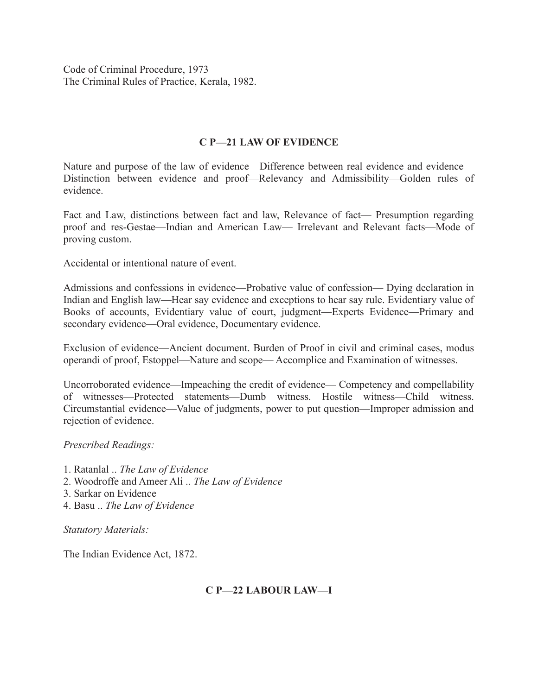Code of Criminal Procedure, 1973 The Criminal Rules of Practice, Kerala, 1982.

#### **C P—21 LAW OF EVIDENCE**

Nature and purpose of the law of evidence—Difference between real evidence and evidence— Distinction between evidence and proof—Relevancy and Admissibility—Golden rules of evidence.

Fact and Law, distinctions between fact and law, Relevance of fact— Presumption regarding proof and res-Gestae—Indian and American Law— Irrelevant and Relevant facts—Mode of proving custom.

Accidental or intentional nature of event.

Admissions and confessions in evidence—Probative value of confession— Dying declaration in Indian and English law—Hear say evidence and exceptions to hear say rule. Evidentiary value of Books of accounts, Evidentiary value of court, judgment—Experts Evidence—Primary and secondary evidence—Oral evidence, Documentary evidence.

Exclusion of evidence—Ancient document. Burden of Proof in civil and criminal cases, modus operandi of proof, Estoppel—Nature and scope— Accomplice and Examination of witnesses.

Uncorroborated evidence—Impeaching the credit of evidence— Competency and compellability of witnesses—Protected statements—Dumb witness. Hostile witness—Child witness. Circumstantial evidence—Value of judgments, power to put question—Improper admission and rejection of evidence.

#### *Prescribed Readings:*

- 1. Ratanlal .. *The Law of Evidence*
- 2. Woodroffe and Ameer Ali .. *The Law of Evidence*
- 3. Sarkar on Evidence
- 4. Basu .. *The Law of Evidence*

*Statutory Materials:*

The Indian Evidence Act, 1872.

#### **C P—22 LABOUR LAW—I**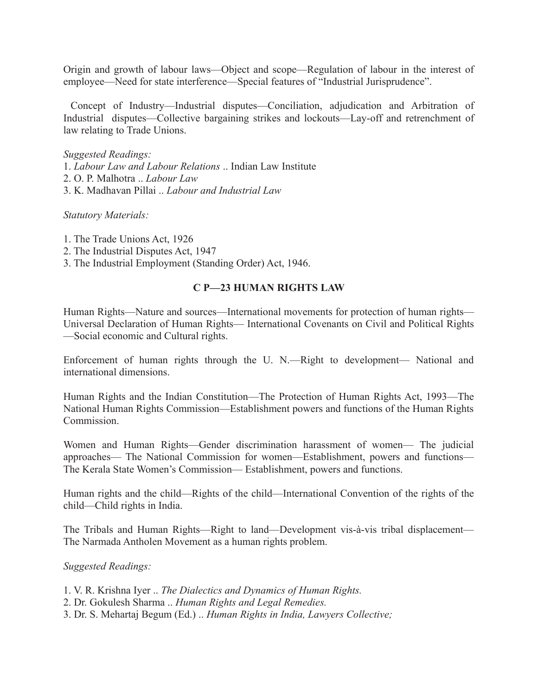Origin and growth of labour laws—Object and scope—Regulation of labour in the interest of employee—Need for state interference—Special features of "Industrial Jurisprudence".

Concept of Industry—Industrial disputes—Conciliation, adjudication and Arbitration of Industrial disputes—Collective bargaining strikes and lockouts—Lay-off and retrenchment of law relating to Trade Unions.

#### *Suggested Readings:*

- 1. *Labour Law and Labour Relations* .. Indian Law Institute
- 2. O. P. Malhotra .. *Labour Law*
- 3. K. Madhavan Pillai .. *Labour and Industrial Law*

#### *Statutory Materials:*

- 1. The Trade Unions Act, 1926
- 2. The Industrial Disputes Act, 1947
- 3. The Industrial Employment (Standing Order) Act, 1946.

#### **C P—23 HUMAN RIGHTS LAW**

Human Rights—Nature and sources—International movements for protection of human rights— Universal Declaration of Human Rights— International Covenants on Civil and Political Rights —Social economic and Cultural rights.

Enforcement of human rights through the U. N.—Right to development— National and international dimensions.

Human Rights and the Indian Constitution—The Protection of Human Rights Act, 1993—The National Human Rights Commission—Establishment powers and functions of the Human Rights Commission.

Women and Human Rights—Gender discrimination harassment of women— The judicial approaches— The National Commission for women—Establishment, powers and functions— The Kerala State Women's Commission— Establishment, powers and functions.

Human rights and the child—Rights of the child—International Convention of the rights of the child—Child rights in India.

The Tribals and Human Rights—Right to land—Development vis-à-vis tribal displacement— The Narmada Antholen Movement as a human rights problem.

#### *Suggested Readings:*

- 1. V. R. Krishna Iyer .. *The Dialectics and Dynamics of Human Rights.*
- 2. Dr. Gokulesh Sharma .. *Human Rights and Legal Remedies.*
- 3. Dr. S. Mehartaj Begum (Ed.) .. *Human Rights in India, Lawyers Collective;*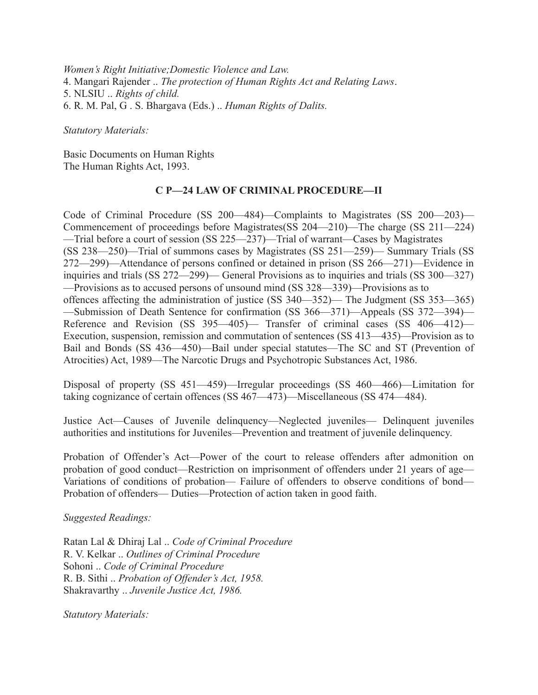*Women's Right Initiative;Domestic Violence and Law.* 4. Mangari Rajender .. *The protection of Human Rights Act and Relating Laws*. 5. NLSIU .. *Rights of child.* 6. R. M. Pal, G . S. Bhargava (Eds.) .. *Human Rights of Dalits.*

*Statutory Materials:*

Basic Documents on Human Rights The Human Rights Act, 1993.

#### **C P—24 LAW OF CRIMINAL PROCEDURE—II**

Code of Criminal Procedure (SS 200—484)—Complaints to Magistrates (SS 200—203)— Commencement of proceedings before Magistrates(SS 204—210)—The charge (SS 211—224) —Trial before a court of session (SS 225—237)—Trial of warrant—Cases by Magistrates (SS 238—250)—Trial of summons cases by Magistrates (SS 251—259)— Summary Trials (SS 272—299)—Attendance of persons confined or detained in prison (SS 266—271)—Evidence in inquiries and trials (SS 272—299)— General Provisions as to inquiries and trials (SS 300—327) —Provisions as to accused persons of unsound mind (SS 328—339)—Provisions as to offences affecting the administration of justice (SS 340—352)— The Judgment (SS 353—365) —Submission of Death Sentence for confirmation (SS 366—371)—Appeals (SS 372—394)— Reference and Revision (SS 395—405)— Transfer of criminal cases (SS 406—412)— Execution, suspension, remission and commutation of sentences (SS 413—435)—Provision as to Bail and Bonds (SS 436—450)—Bail under special statutes—The SC and ST (Prevention of Atrocities) Act, 1989—The Narcotic Drugs and Psychotropic Substances Act, 1986.

Disposal of property (SS 451—459)—Irregular proceedings (SS 460—466)—Limitation for taking cognizance of certain offences (SS 467—473)—Miscellaneous (SS 474—484).

Justice Act—Causes of Juvenile delinquency—Neglected juveniles— Delinquent juveniles authorities and institutions for Juveniles—Prevention and treatment of juvenile delinquency.

Probation of Offender's Act—Power of the court to release offenders after admonition on probation of good conduct—Restriction on imprisonment of offenders under 21 years of age— Variations of conditions of probation— Failure of offenders to observe conditions of bond— Probation of offenders— Duties—Protection of action taken in good faith.

*Suggested Readings:*

Ratan Lal & Dhiraj Lal .. *Code of Criminal Procedure* R. V. Kelkar .. *Outlines of Criminal Procedure* Sohoni .. *Code of Criminal Procedure* R. B. Sithi .. *Probation of Offender's Act, 1958.* Shakravarthy .. *Juvenile Justice Act, 1986.*

*Statutory Materials:*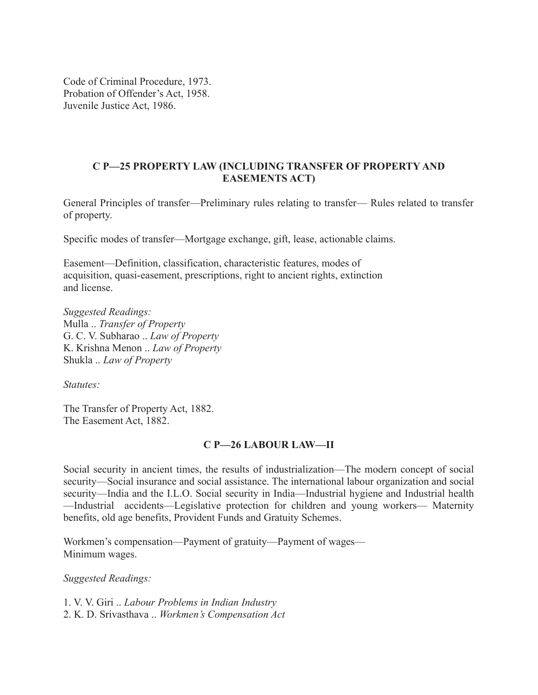Code of Criminal Procedure, 1973. Probation of Offender's Act, 1958. Juvenile Justice Act, 1986.

## **C P—25 PROPERTY LAW (INCLUDING TRANSFER OF PROPERTY AND EASEMENTS ACT)**

General Principles of transfer—Preliminary rules relating to transfer— Rules related to transfer of property.

Specific modes of transfer—Mortgage exchange, gift, lease, actionable claims.

Easement—Definition, classification, characteristic features, modes of acquisition, quasi-easement, prescriptions, right to ancient rights, extinction and license.

*Suggested Readings:* Mulla .. *Transfer of Property* G. C. V. Subharao .. *Law of Property* K. Krishna Menon .. *Law of Property* Shukla .. *Law of Property*

*Statutes:*

The Transfer of Property Act, 1882. The Easement Act, 1882.

## **C P—26 LABOUR LAW—II**

Social security in ancient times, the results of industrialization—The modern concept of social security—Social insurance and social assistance. The international labour organization and social security—India and the I.L.O. Social security in India—Industrial hygiene and Industrial health —Industrial accidents—Legislative protection for children and young workers— Maternity benefits, old age benefits, Provident Funds and Gratuity Schemes.

Workmen's compensation—Payment of gratuity—Payment of wages— Minimum wages.

*Suggested Readings:*

1. V. V. Giri .. *Labour Problems in Indian Industry* 2. K. D. Srivasthava .. *Workmen's Compensation Act*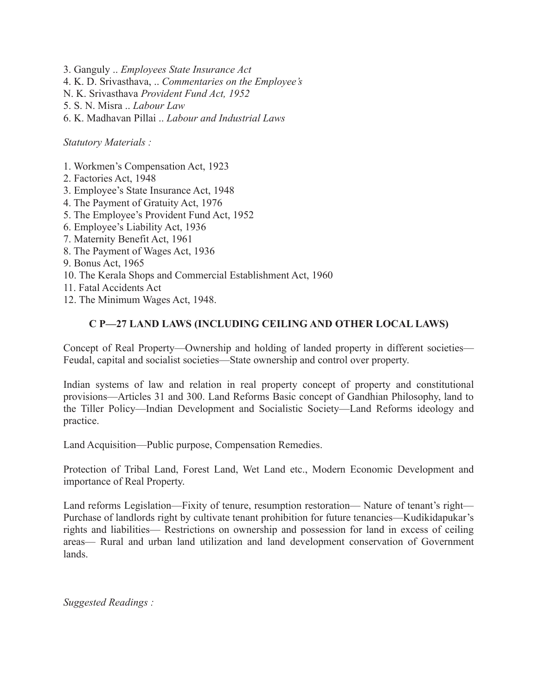- 3. Ganguly .. *Employees State Insurance Act*
- 4. K. D. Srivasthava, .. *Commentaries on the Employee's*
- N. K. Srivasthava *Provident Fund Act, 1952*
- 5. S. N. Misra .. *Labour Law*
- 6. K. Madhavan Pillai .. *Labour and Industrial Laws*

*Statutory Materials :*

- 1. Workmen's Compensation Act, 1923
- 2. Factories Act, 1948
- 3. Employee's State Insurance Act, 1948
- 4. The Payment of Gratuity Act, 1976
- 5. The Employee's Provident Fund Act, 1952
- 6. Employee's Liability Act, 1936
- 7. Maternity Benefit Act, 1961
- 8. The Payment of Wages Act, 1936
- 9. Bonus Act, 1965
- 10. The Kerala Shops and Commercial Establishment Act, 1960
- 11. Fatal Accidents Act
- 12. The Minimum Wages Act, 1948.

## **C P—27 LAND LAWS (INCLUDING CEILING AND OTHER LOCAL LAWS)**

Concept of Real Property—Ownership and holding of landed property in different societies— Feudal, capital and socialist societies—State ownership and control over property.

Indian systems of law and relation in real property concept of property and constitutional provisions—Articles 31 and 300. Land Reforms Basic concept of Gandhian Philosophy, land to the Tiller Policy—Indian Development and Socialistic Society—Land Reforms ideology and practice.

Land Acquisition—Public purpose, Compensation Remedies.

Protection of Tribal Land, Forest Land, Wet Land etc., Modern Economic Development and importance of Real Property.

Land reforms Legislation—Fixity of tenure, resumption restoration— Nature of tenant's right— Purchase of landlords right by cultivate tenant prohibition for future tenancies—Kudikidapukar's rights and liabilities— Restrictions on ownership and possession for land in excess of ceiling areas— Rural and urban land utilization and land development conservation of Government lands.

*Suggested Readings :*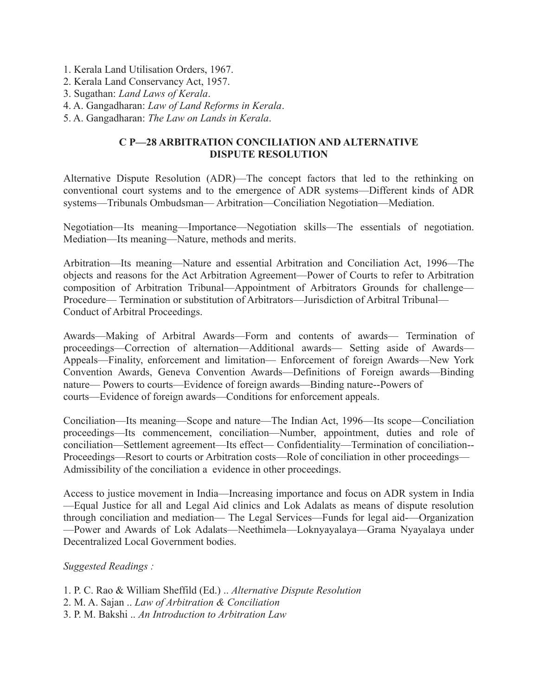- 1. Kerala Land Utilisation Orders, 1967.
- 2. Kerala Land Conservancy Act, 1957.
- 3. Sugathan: *Land Laws of Kerala*.
- 4. A. Gangadharan: *Law of Land Reforms in Kerala*.
- 5. A. Gangadharan: *The Law on Lands in Kerala*.

### **C P—28 ARBITRATION CONCILIATION AND ALTERNATIVE DISPUTE RESOLUTION**

Alternative Dispute Resolution (ADR)—The concept factors that led to the rethinking on conventional court systems and to the emergence of ADR systems—Different kinds of ADR systems—Tribunals Ombudsman— Arbitration—Conciliation Negotiation—Mediation.

Negotiation—Its meaning—Importance—Negotiation skills—The essentials of negotiation. Mediation—Its meaning—Nature, methods and merits.

Arbitration—Its meaning—Nature and essential Arbitration and Conciliation Act, 1996—The objects and reasons for the Act Arbitration Agreement—Power of Courts to refer to Arbitration composition of Arbitration Tribunal—Appointment of Arbitrators Grounds for challenge— Procedure— Termination or substitution of Arbitrators—Jurisdiction of Arbitral Tribunal— Conduct of Arbitral Proceedings.

Awards—Making of Arbitral Awards—Form and contents of awards— Termination of proceedings—Correction of alternation—Additional awards— Setting aside of Awards— Appeals—Finality, enforcement and limitation— Enforcement of foreign Awards—New York Convention Awards, Geneva Convention Awards—Definitions of Foreign awards—Binding nature— Powers to courts—Evidence of foreign awards—Binding nature--Powers of courts—Evidence of foreign awards—Conditions for enforcement appeals.

Conciliation—Its meaning—Scope and nature—The Indian Act, 1996—Its scope—Conciliation proceedings—Its commencement, conciliation—Number, appointment, duties and role of conciliation—Settlement agreement—Its effect— Confidentiality—Termination of conciliation-- Proceedings—Resort to courts or Arbitration costs—Role of conciliation in other proceedings— Admissibility of the conciliation a evidence in other proceedings.

Access to justice movement in India—Increasing importance and focus on ADR system in India —Equal Justice for all and Legal Aid clinics and Lok Adalats as means of dispute resolution through conciliation and mediation— The Legal Services—Funds for legal aid-—Organization —Power and Awards of Lok Adalats—Neethimela—Loknyayalaya—Grama Nyayalaya under Decentralized Local Government bodies.

#### *Suggested Readings :*

1. P. C. Rao & William Sheffild (Ed.) .. *Alternative Dispute Resolution* 2. M. A. Sajan .. *Law of Arbitration & Conciliation* 3. P. M. Bakshi .. *An Introduction to Arbitration Law*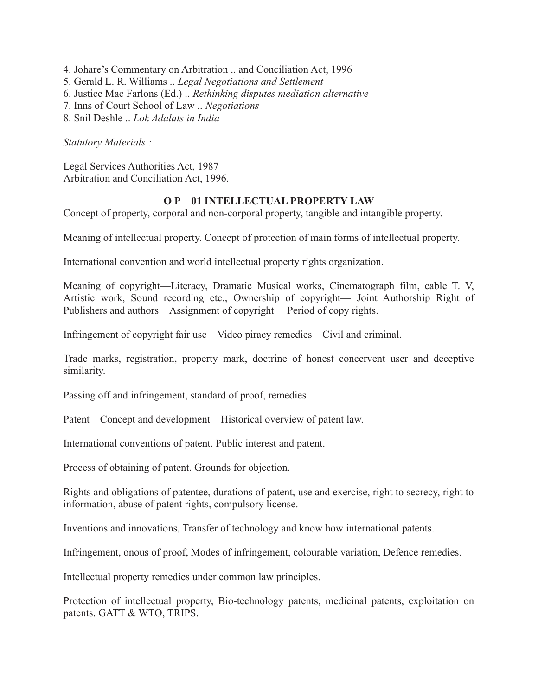- 4. Johare's Commentary on Arbitration .. and Conciliation Act, 1996
- 5. Gerald L. R. Williams .. *Legal Negotiations and Settlement*
- 6. Justice Mac Farlons (Ed.) .. *Rethinking disputes mediation alternative*
- 7. Inns of Court School of Law .. *Negotiations*
- 8. Snil Deshle .. *Lok Adalats in India*

*Statutory Materials :*

Legal Services Authorities Act, 1987 Arbitration and Conciliation Act, 1996.

#### **O P—01 INTELLECTUAL PROPERTY LAW**

Concept of property, corporal and non-corporal property, tangible and intangible property.

Meaning of intellectual property. Concept of protection of main forms of intellectual property.

International convention and world intellectual property rights organization.

Meaning of copyright—Literacy, Dramatic Musical works, Cinematograph film, cable T. V, Artistic work, Sound recording etc., Ownership of copyright— Joint Authorship Right of Publishers and authors—Assignment of copyright— Period of copy rights.

Infringement of copyright fair use—Video piracy remedies—Civil and criminal.

Trade marks, registration, property mark, doctrine of honest concervent user and deceptive similarity.

Passing off and infringement, standard of proof, remedies

Patent—Concept and development—Historical overview of patent law.

International conventions of patent. Public interest and patent.

Process of obtaining of patent. Grounds for objection.

Rights and obligations of patentee, durations of patent, use and exercise, right to secrecy, right to information, abuse of patent rights, compulsory license.

Inventions and innovations, Transfer of technology and know how international patents.

Infringement, onous of proof, Modes of infringement, colourable variation, Defence remedies.

Intellectual property remedies under common law principles.

Protection of intellectual property, Bio-technology patents, medicinal patents, exploitation on patents. GATT & WTO, TRIPS.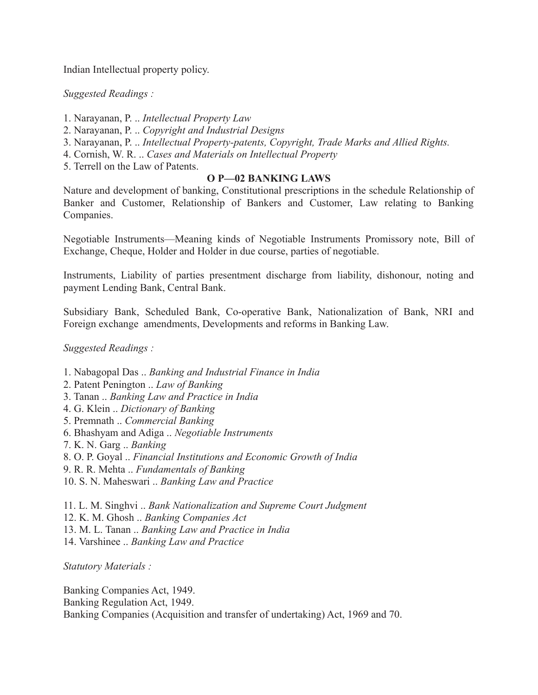Indian Intellectual property policy.

*Suggested Readings :*

- 1. Narayanan, P. .. *Intellectual Property Law*
- 2. Narayanan, P. .. *Copyright and Industrial Designs*
- 3. Narayanan, P. .. *Intellectual Property-patents, Copyright, Trade Marks and Allied Rights.*
- 4. Cornish, W. R. .. *Cases and Materials on Intellectual Property*
- 5. Terrell on the Law of Patents.

### **O P—02 BANKING LAWS**

Nature and development of banking, Constitutional prescriptions in the schedule Relationship of Banker and Customer, Relationship of Bankers and Customer, Law relating to Banking Companies.

Negotiable Instruments—Meaning kinds of Negotiable Instruments Promissory note, Bill of Exchange, Cheque, Holder and Holder in due course, parties of negotiable.

Instruments, Liability of parties presentment discharge from liability, dishonour, noting and payment Lending Bank, Central Bank.

Subsidiary Bank, Scheduled Bank, Co-operative Bank, Nationalization of Bank, NRI and Foreign exchange amendments, Developments and reforms in Banking Law.

*Suggested Readings :*

- 1. Nabagopal Das .. *Banking and Industrial Finance in India*
- 2. Patent Penington .. *Law of Banking*
- 3. Tanan .. *Banking Law and Practice in India*
- 4. G. Klein .. *Dictionary of Banking*
- 5. Premnath .. *Commercial Banking*
- 6. Bhashyam and Adiga .. *Negotiable Instruments*
- 7. K. N. Garg .. *Banking*
- 8. O. P. Goyal .. *Financial Institutions and Economic Growth of India*
- 9. R. R. Mehta .. *Fundamentals of Banking*
- 10. S. N. Maheswari .. *Banking Law and Practice*
- 11. L. M. Singhvi .. *Bank Nationalization and Supreme Court Judgment*
- 12. K. M. Ghosh .. *Banking Companies Act*
- 13. M. L. Tanan .. *Banking Law and Practice in India*
- 14. Varshinee .. *Banking Law and Practice*

*Statutory Materials :*

Banking Companies Act, 1949. Banking Regulation Act, 1949. Banking Companies (Acquisition and transfer of undertaking) Act, 1969 and 70.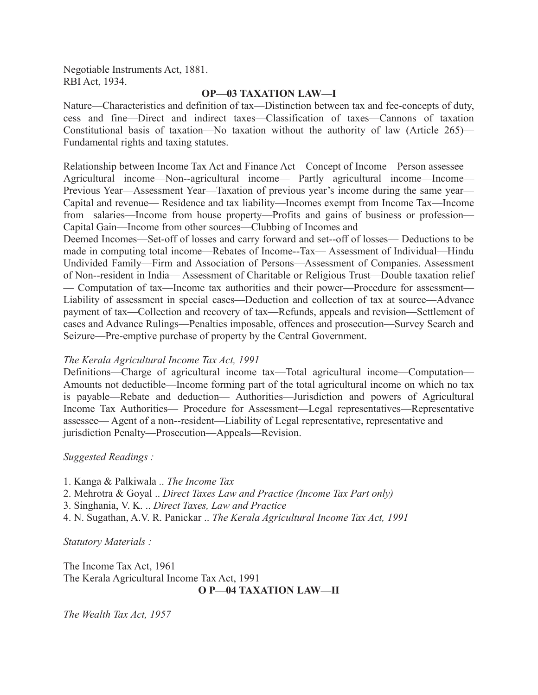Negotiable Instruments Act, 1881. RBI Act, 1934.

#### **OP—03 TAXATION LAW—I**

Nature—Characteristics and definition of tax—Distinction between tax and fee-concepts of duty, cess and fine—Direct and indirect taxes—Classification of taxes—Cannons of taxation Constitutional basis of taxation—No taxation without the authority of law (Article 265)— Fundamental rights and taxing statutes.

Relationship between Income Tax Act and Finance Act—Concept of Income—Person assessee— Agricultural income—Non--agricultural income— Partly agricultural income—Income— Previous Year—Assessment Year—Taxation of previous year's income during the same year— Capital and revenue— Residence and tax liability—Incomes exempt from Income Tax—Income from salaries—Income from house property—Profits and gains of business or profession— Capital Gain—Income from other sources—Clubbing of Incomes and

Deemed Incomes—Set-off of losses and carry forward and set--off of losses— Deductions to be made in computing total income—Rebates of Income--Tax— Assessment of Individual—Hindu Undivided Family—Firm and Association of Persons—Assessment of Companies. Assessment of Non--resident in India— Assessment of Charitable or Religious Trust—Double taxation relief — Computation of tax—Income tax authorities and their power—Procedure for assessment— Liability of assessment in special cases—Deduction and collection of tax at source—Advance payment of tax—Collection and recovery of tax—Refunds, appeals and revision—Settlement of cases and Advance Rulings—Penalties imposable, offences and prosecution—Survey Search and Seizure—Pre-emptive purchase of property by the Central Government.

#### *The Kerala Agricultural Income Tax Act, 1991*

Definitions—Charge of agricultural income tax—Total agricultural income—Computation— Amounts not deductible—Income forming part of the total agricultural income on which no tax is payable—Rebate and deduction— Authorities—Jurisdiction and powers of Agricultural Income Tax Authorities— Procedure for Assessment—Legal representatives—Representative assessee— Agent of a non--resident—Liability of Legal representative, representative and jurisdiction Penalty—Prosecution—Appeals—Revision.

#### *Suggested Readings :*

1. Kanga & Palkiwala .. *The Income Tax*

- 2. Mehrotra & Goyal .. *Direct Taxes Law and Practice (Income Tax Part only)*
- 3. Singhania, V. K. .. *Direct Taxes, Law and Practice*
- 4. N. Sugathan, A.V. R. Panickar .. *The Kerala Agricultural Income Tax Act, 1991*

*Statutory Materials :*

The Income Tax Act, 1961 The Kerala Agricultural Income Tax Act, 1991 **O P—04 TAXATION LAW—II**

*The Wealth Tax Act, 1957*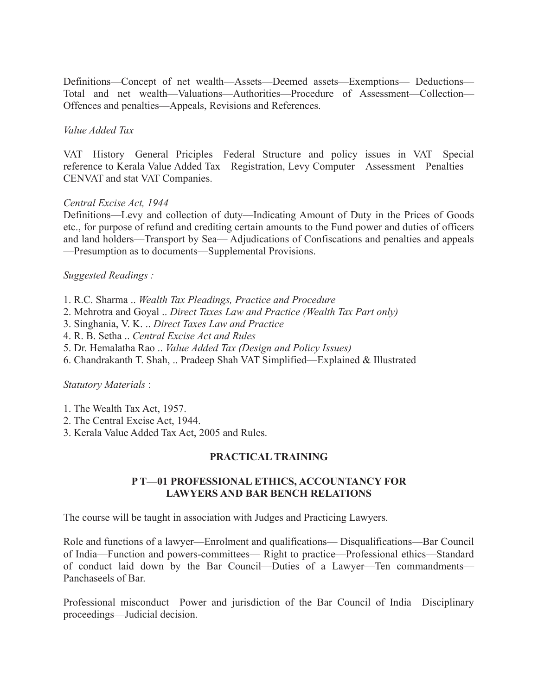Definitions—Concept of net wealth—Assets—Deemed assets—Exemptions— Deductions— Total and net wealth—Valuations—Authorities—Procedure of Assessment—Collection— Offences and penalties—Appeals, Revisions and References.

### *Value Added Tax*

VAT—History—General Priciples—Federal Structure and policy issues in VAT—Special reference to Kerala Value Added Tax—Registration, Levy Computer—Assessment—Penalties— CENVAT and stat VAT Companies.

### *Central Excise Act, 1944*

Definitions—Levy and collection of duty—Indicating Amount of Duty in the Prices of Goods etc., for purpose of refund and crediting certain amounts to the Fund power and duties of officers and land holders—Transport by Sea— Adjudications of Confiscations and penalties and appeals —Presumption as to documents—Supplemental Provisions.

### *Suggested Readings :*

- 1. R.C. Sharma .. *Wealth Tax Pleadings, Practice and Procedure*
- 2. Mehrotra and Goyal .. *Direct Taxes Law and Practice (Wealth Tax Part only)*
- 3. Singhania, V. K. .. *Direct Taxes Law and Practice*
- 4. R. B. Setha .. *Central Excise Act and Rules*
- 5. Dr. Hemalatha Rao .. *Value Added Tax (Design and Policy Issues)*
- 6. Chandrakanth T. Shah, .. Pradeep Shah VAT Simplified—Explained & Illustrated

#### *Statutory Materials* :

- 1. The Wealth Tax Act, 1957.
- 2. The Central Excise Act, 1944.
- 3. Kerala Value Added Tax Act, 2005 and Rules.

## **PRACTICAL TRAINING**

### **P T—01 PROFESSIONAL ETHICS, ACCOUNTANCY FOR LAWYERS AND BAR BENCH RELATIONS**

The course will be taught in association with Judges and Practicing Lawyers.

Role and functions of a lawyer—Enrolment and qualifications— Disqualifications—Bar Council of India—Function and powers-committees— Right to practice—Professional ethics—Standard of conduct laid down by the Bar Council—Duties of a Lawyer—Ten commandments— Panchaseels of Bar.

Professional misconduct—Power and jurisdiction of the Bar Council of India—Disciplinary proceedings—Judicial decision.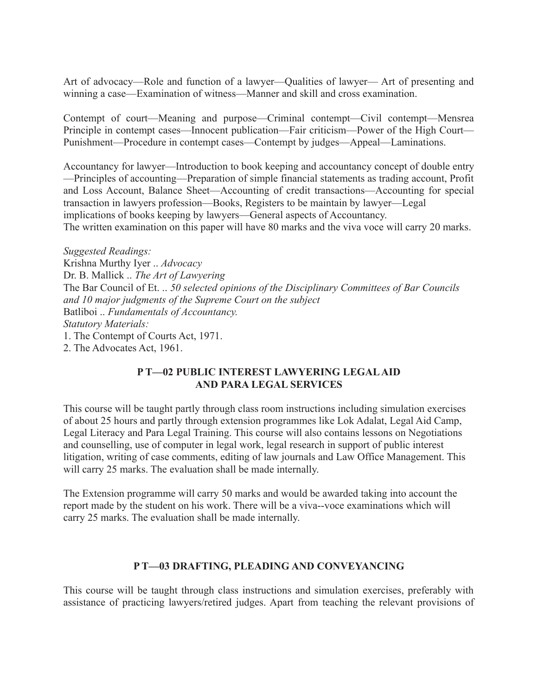Art of advocacy—Role and function of a lawyer—Qualities of lawyer— Art of presenting and winning a case—Examination of witness—Manner and skill and cross examination.

Contempt of court—Meaning and purpose—Criminal contempt—Civil contempt—Mensrea Principle in contempt cases—Innocent publication—Fair criticism—Power of the High Court— Punishment—Procedure in contempt cases—Contempt by judges—Appeal—Laminations.

Accountancy for lawyer—Introduction to book keeping and accountancy concept of double entry —Principles of accounting—Preparation of simple financial statements as trading account, Profit and Loss Account, Balance Sheet—Accounting of credit transactions—Accounting for special transaction in lawyers profession—Books, Registers to be maintain by lawyer—Legal implications of books keeping by lawyers—General aspects of Accountancy. The written examination on this paper will have 80 marks and the viva voce will carry 20 marks.

*Suggested Readings:* Krishna Murthy Iyer .. *Advocacy* Dr. B. Mallick .. *The Art of Lawyering* The Bar Council of Et. .. *50 selected opinions of the Disciplinary Committees of Bar Councils and 10 major judgments of the Supreme Court on the subject* Batliboi .. *Fundamentals of Accountancy. Statutory Materials:* 1. The Contempt of Courts Act, 1971. 2. The Advocates Act, 1961.

### **P T—02 PUBLIC INTEREST LAWYERING LEGAL AID AND PARA LEGAL SERVICES**

This course will be taught partly through class room instructions including simulation exercises of about 25 hours and partly through extension programmes like Lok Adalat, Legal Aid Camp, Legal Literacy and Para Legal Training. This course will also contains lessons on Negotiations and counselling, use of computer in legal work, legal research in support of public interest litigation, writing of case comments, editing of law journals and Law Office Management. This will carry 25 marks. The evaluation shall be made internally.

The Extension programme will carry 50 marks and would be awarded taking into account the report made by the student on his work. There will be a viva--voce examinations which will carry 25 marks. The evaluation shall be made internally.

## **P T—03 DRAFTING, PLEADING AND CONVEYANCING**

This course will be taught through class instructions and simulation exercises, preferably with assistance of practicing lawyers/retired judges. Apart from teaching the relevant provisions of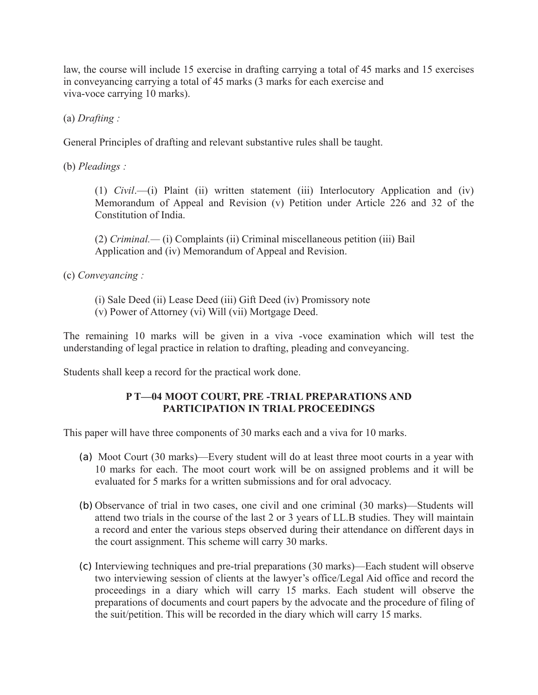law, the course will include 15 exercise in drafting carrying a total of 45 marks and 15 exercises in conveyancing carrying a total of 45 marks (3 marks for each exercise and viva-voce carrying 10 marks).

(a) *Drafting :*

General Principles of drafting and relevant substantive rules shall be taught.

(b) *Pleadings :*

(1) *Civil*.—(i) Plaint (ii) written statement (iii) Interlocutory Application and (iv) Memorandum of Appeal and Revision (v) Petition under Article 226 and 32 of the Constitution of India.

(2) *Criminal.—* (i) Complaints (ii) Criminal miscellaneous petition (iii) Bail Application and (iv) Memorandum of Appeal and Revision.

(c) *Conveyancing :*

(i) Sale Deed (ii) Lease Deed (iii) Gift Deed (iv) Promissory note (v) Power of Attorney (vi) Will (vii) Mortgage Deed.

The remaining 10 marks will be given in a viva -voce examination which will test the understanding of legal practice in relation to drafting, pleading and conveyancing.

Students shall keep a record for the practical work done.

## **P T—04 MOOT COURT, PRE -TRIAL PREPARATIONS AND PARTICIPATION IN TRIAL PROCEEDINGS**

This paper will have three components of 30 marks each and a viva for 10 marks.

- (a) Moot Court (30 marks)—Every student will do at least three moot courts in a year with 10 marks for each. The moot court work will be on assigned problems and it will be evaluated for 5 marks for a written submissions and for oral advocacy.
- (b) Observance of trial in two cases, one civil and one criminal (30 marks)—Students will attend two trials in the course of the last 2 or 3 years of LL.B studies. They will maintain a record and enter the various steps observed during their attendance on different days in the court assignment. This scheme will carry 30 marks.
- (c) Interviewing techniques and pre-trial preparations (30 marks)—Each student will observe two interviewing session of clients at the lawyer's office/Legal Aid office and record the proceedings in a diary which will carry 15 marks. Each student will observe the preparations of documents and court papers by the advocate and the procedure of filing of the suit/petition. This will be recorded in the diary which will carry 15 marks.